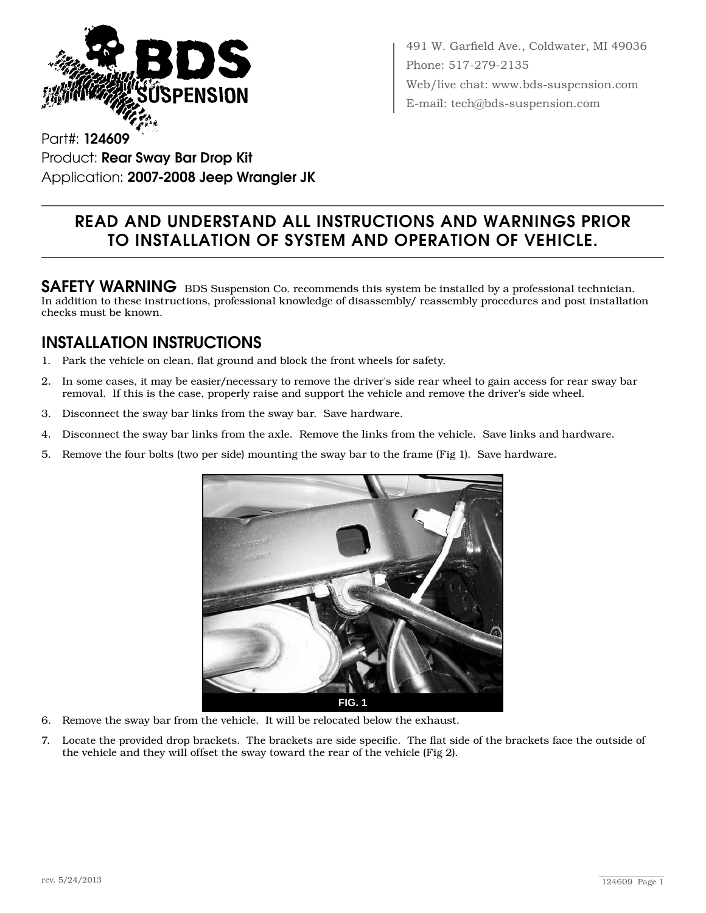

491 W. Garfield Ave., Coldwater, MI 49036 Phone: 517-279-2135 Web/live chat: www.bds-suspension.com E-mail: tech@bds-suspension.com

Part#: 124609 Product: Rear Sway Bar Drop Kit Application: 2007-2008 Jeep Wrangler JK

## Read and understand all instructions and warnings prior to installation of system and operation of vehicle.

SAFETY WARNING BDS Suspension Co. recommends this system be installed by a professional technician. In addition to these instructions, professional knowledge of disassembly/ reassembly procedures and post installation checks must be known.

## INSTALLATION INSTRUCTIONS

- 1. Park the vehicle on clean, flat ground and block the front wheels for safety.
- 2. In some cases, it may be easier/necessary to remove the driver's side rear wheel to gain access for rear sway bar removal. If this is the case, properly raise and support the vehicle and remove the driver's side wheel.
- 3. Disconnect the sway bar links from the sway bar. Save hardware.
- 4. Disconnect the sway bar links from the axle. Remove the links from the vehicle. Save links and hardware.
- 5. Remove the four bolts (two per side) mounting the sway bar to the frame (Fig 1). Save hardware.



- 6. Remove the sway bar from the vehicle. It will be relocated below the exhaust.
- 7. Locate the provided drop brackets. The brackets are side specific. The flat side of the brackets face the outside of the vehicle and they will offset the sway toward the rear of the vehicle (Fig 2).